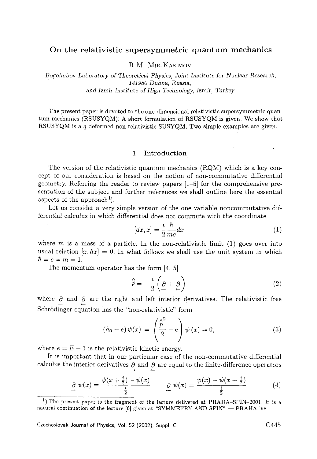## **On** the relativistic supersymmetric **quantum mechanics**

**R.M.** MIR-IKASIMOV

*Bogoliubov Laboratory of Theoretical Physics, Joint Institute* for *Nuclear Research, 141980 Dubna, Russia,*  and *Izmir Institute of High Technology, Izmir,* Turkey

The present paper is devoted to the one-dimensional relativistic supersymmetric quantum mechanics (RSUSYQM). A short formulation of RSUSYQM is given. We show that RSUSYQM is a q-deformed non-relativistic SUSYQM. Two simple examples are given.

#### 1 Introduction

The version of the relativistic quantum mechanics (RQM) which is a key concept of our consideration is based on the notion of non-commutative differential geometry. Referring the reader to review papers [1-5] for the comprehensive presentation of the subject and further references we shall outline here the essential aspects of the approach<sup>1</sup>).

Let us consider a very simple version of the one variable noncommutative differential calculus in which differential does not commute with the coordinate

$$
[dx, x] = \frac{i}{2} \frac{\hbar}{mc} dx \tag{1}
$$

where  $m$  is a mass of a particle. In the non-relativistic limit (1) goes over into usual relation  $[x, dx] = 0$ . In what follows we shall use the unit system in which  $\hbar = c = m = 1$ .

The momentum operator has the form [4, 5]

$$
\hat{p} = -\frac{i}{2} \left( \frac{\partial}{\partial x} + \frac{\partial}{\partial y} \right) \tag{2}
$$

where  $\partial$  and  $\partial$  are the right and left interior derivatives. The relativistic free --+ ~.- Schrödinger equation has the "non-relativistic" form

$$
(h_0 - e) \psi(x) = \left(\frac{\stackrel{\wedge}{p}^2}{2} - e\right) \psi(x) = 0, \tag{3}
$$

where  $e = E - 1$  is the relativistic kinetic energy.

It is important that in our particular case of the non-commutative differential calculus the interior derivatives  $\partial$  and  $\partial$  are equal to the finite-difference operators

$$
\frac{\partial}{\partial} \psi(x) = \frac{\psi(x + \frac{i}{2}) - \psi(x)}{\frac{i}{2}} \qquad \frac{\partial}{\partial} \psi(x) = \frac{\psi(x) - \psi(x - \frac{i}{2})}{\frac{i}{2}} \tag{4}
$$

Czechoslovak Journal of Physics, Vol. 52 (2002), Suppl. C C445

<sup>&</sup>lt;sup>1</sup>) The present paper is the fragment of the lecture delivered at PRAHA-SPIN-2001. It is a natural continuation of the lecture  $[6]$  given at "SYMMETRY AND SPIN" -- PRAHA '98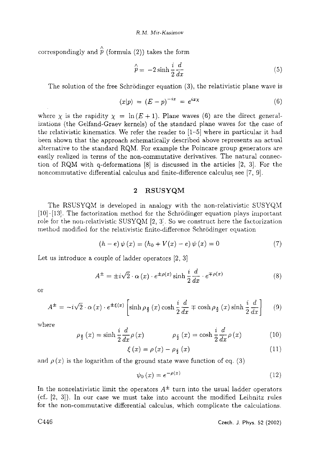$\hat{p}$  correspondingly and  $\hat{\hat{p}}$  (formula (2)) takes the form

$$
\hat{p} = -2\sinh\frac{i}{2}\frac{d}{dx} \tag{5}
$$

The solution of the free Schrödinger equation (3), the relativistic plane wave is

$$
\langle x|p\rangle = (E - p)^{-ix} = e^{ix\chi} \tag{6}
$$

where  $\chi$  is the rapidity  $\chi = \ln(E+1)$ . Plane waves (6) are the direct generalizations (the Gelfand-Graev kernels) of the standard plane waves for the case of the relativistic kinematics. We refer the reader to  $(1-5)$  where in particular it had been shown that the approach schematically described above represents an actual alternative to the standard RQM. For example the Poincare group generators are easily realized in terms of the non-commutative derivatives. The natural connection of RQM with q-deformations [8] is discussed in the articles [2, 3]. For the noncommutative differential calculus and finite-difference calculus see [7, 9].

### **2 RSUSYQM**

The RSUSYQM is developed in analogy with the non-relativistic SUSYQM  $[10]$ - $[13]$ . The factorization method for the Schrödinger equation plays important role for the non-relativistic SUSYQM  $[2, 3]$ . So we construct here the factorization method modified for the relativistic finite-difference Schrödinger equation

$$
(h - e) \psi(x) = (h_0 + V(x) - e) \psi(x) = 0 \tag{7}
$$

Let us introduce a couple of ladder operators [2, 3]

$$
A^{\pm} = \pm i\sqrt{2} \cdot \alpha(x) \cdot e^{\pm \rho(x)} \sinh \frac{i}{2} \frac{d}{dx} \cdot e^{\mp \rho(x)}
$$
(8)

O1"

$$
A^{\pm} = -i\sqrt{2} \cdot \alpha(x) \cdot e^{\pm \xi(x)} \left[ \sinh \rho_{\frac{z}{2}}(x) \cosh \frac{i}{2} \frac{d}{dx} \mp \cosh \rho_{\frac{z}{2}}(x) \sinh \frac{i}{2} \frac{d}{dx} \right] \tag{9}
$$

where

$$
\rho_{\frac{z}{2}}(x) = \sinh\frac{i}{2}\frac{d}{dx}\rho(x) \qquad \rho_{\frac{c}{2}}(x) = \cosh\frac{i}{2}\frac{d}{dx}\rho(x) \qquad (10)
$$

$$
\xi(x) = \rho(x) - \rho_{\frac{\xi}{2}}(x) \tag{11}
$$

and  $\rho(x)$  is the logarithm of the ground state wave function of eq. (3)

$$
\psi_0(x) = e^{-\rho(x)}\tag{12}
$$

In the nonrelativistic limit the operators  $A^{\pm}$  turn into the usual ladder operators (cf.. [2, 3]). In our case we must take into account the modified Leibnitz rules for the non-comnmtative differential calculus, which complicate the calculations.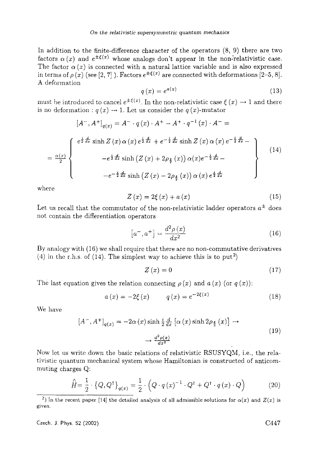In addition to the finite-difference character of the operators (8, 9) there are two factors  $\alpha(x)$  and  $e^{\pm \xi(x)}$  whose analogs don't appear in the non-relativistic case. The factor  $\alpha(x)$  is connected with a natural lattice variable and is also expressed in terms of  $\rho(x)$  (see [2, 7]). Factors  $e^{\pm \xi(x)}$  are connected with deformations [2-5, 8]. A deformation

$$
q\left(x\right) = e^{a\left(x\right)}\tag{13}
$$

must be introduced to cancel  $e^{\pm \xi(x)}$ . In the non-relativistic case  $\xi(x) \rightarrow 1$  and there is no deformation :  $q(x) \rightarrow 1$ . Let us consider the  $q(x)$ -mutator

$$
[A^{-}, A^{+}]_{q(x)} = A^{-} \cdot q(x) \cdot A^{+} - A^{+} \cdot q^{-1}(x) \cdot A^{-} =
$$
\n
$$
= \frac{\alpha(x)}{2} \begin{cases} e^{\frac{i}{2} \frac{d}{dx}} \sinh Z(x) \alpha(x) e^{\frac{i}{2} \frac{d}{dx}} + e^{-\frac{i}{2} \frac{d}{dx}} \sinh Z(x) \alpha(x) e^{-\frac{i}{2} \frac{d}{dx}} - \\ -e^{\frac{i}{2} \frac{d}{dx}} \sinh (Z(x) + 2\rho_{\frac{3}{2}}(x)) \alpha(x) e^{-\frac{i}{2} \frac{d}{dx}} - \\ -e^{-\frac{i}{2} \frac{d}{dx}} \sinh (Z(x) - 2\rho_{\frac{3}{2}}(x)) \alpha(x) e^{\frac{i}{2} \frac{d}{dx}} \end{cases}
$$
\n(14)

where

$$
Z\left(x\right) = 2\xi\left(x\right) + a\left(x\right) \tag{15}
$$

Let us recall that the commutator of the non-relativistic ladder operators  $a^\pm$  does not contain the differentiation operators

$$
\left[a^-,a^+\right] = \frac{d^2\rho\left(x\right)}{dx^2} \tag{16}
$$

By analogy with (16) we shall require that there are no non-commutative derivatives (4) in the r.h.s. of (14). The simplest way to achieve this is to put<sup>2</sup>)

$$
Z\left(x\right) = 0\tag{17}
$$

The last equation gives the relation connecting  $\rho(x)$  and  $a(x)$  (or  $q(x)$ ):

$$
a(x) = -2\xi(x) \qquad q(x) = e^{-2\xi(x)} \tag{18}
$$

We have

$$
[A^-, A^+]_{q(x)} = -2\alpha(x)\sinh\frac{i}{2}\frac{d}{dx}\left[\alpha(x)\sinh 2\rho_{\frac{z}{2}}(x)\right] \rightarrow
$$
  

$$
\rightarrow \frac{d^2\rho(x)}{dx^2}
$$
 (19)

Now let us write down the basic relations of relativistic RSUSYQM, i.e., the relativistic quantum mechanical system whose Hamiltonian is constructed of anticommuting charges Q:

$$
\hat{H} = \frac{1}{2} \cdot \left\{ Q, Q^{\dagger} \right\}_{q(x)} = \frac{1}{2} \cdot \left( Q \cdot q(x)^{-1} \cdot Q^{\dagger} + Q^{\dagger} \cdot q(x) \cdot Q \right)
$$
(20)

<sup>&</sup>lt;sup>2</sup>) In the recent paper [14] the detailed analysis of all admissible solutions for  $\alpha(x)$  and  $Z(x)$  is given.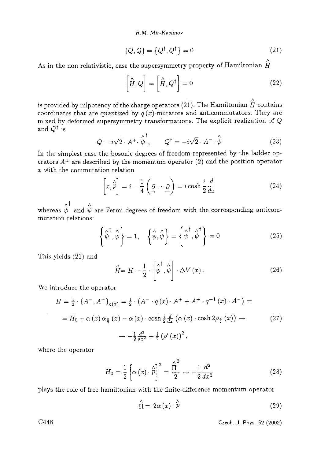*R.M. Mir-Kasimov* 

$$
\{Q, Q\} = \{Q^{\dagger}, Q^{\dagger}\} = 0 \tag{21}
$$

As in the non relativistic, case the supersymmetry property of Hamiltonian  $\hat{\hat{H}}$ 

$$
\left[\hat{H}, Q\right] = \left[\hat{H}, Q^{\dagger}\right] = 0\tag{22}
$$

is provided by nilpotency of the charge operators (21). The Hamiltonian  $\stackrel{\wedge }{H}$  contains coordinates that are quantized by  $q(x)$ -mutators and anticommutators. They are mixed by deformed supersymmetry transformations. The explicit realization of Q and  $Q^{\dagger}$  is

$$
Q = i\sqrt{2} \cdot A^+ \cdot \stackrel{\wedge}{\psi}^{\dagger}, \qquad Q^{\dagger} = -i\sqrt{2} \cdot A^- \cdot \stackrel{\wedge}{\psi} \tag{23}
$$

In the simplest case the bosonic degrees of freedom represented by the ladder operators  $A^{\pm}$  are described by the momentum operator (2) and the position operator  $x$  with the commutation relation

$$
\left[x,\hat{p}\right] = i - \frac{1}{4}\left(\underline{\partial} - \underline{\partial}\right) = i\cosh\frac{i}{2}\frac{d}{dx} \tag{24}
$$

whereas  $\stackrel{\wedge}{\psi}$  and  $\stackrel{\wedge}{\psi}$  are Fermi degrees of freedom with the corresponding anticommutation relations:

$$
\left\{\hat{\psi}^{\dagger}, \hat{\psi}\right\} = 1, \quad \left\{\hat{\psi}, \hat{\psi}\right\} = \left\{\hat{\psi}^{\dagger}, \hat{\psi}^{\dagger}\right\} = 0 \tag{25}
$$

This yields (21) and

$$
\hat{H} = H - \frac{1}{2} \cdot \begin{bmatrix} \wedge^{\dagger} & \wedge \\ \hat{\psi} & \hat{\psi} \end{bmatrix} \cdot \Delta V(x). \tag{26}
$$

We introduce the operator

$$
H = \frac{1}{2} \cdot \left\{ A^{-} , A^{+} \right\}_{q(x)} = \frac{1}{2} \cdot \left( A^{-} \cdot q(x) \cdot A^{+} + A^{+} \cdot q^{-1}(x) \cdot A^{-} \right) =
$$
\n
$$
= H_{0} + \alpha(x) \alpha_{\frac{\epsilon}{2}}(x) - \alpha(x) \cdot \cosh \frac{i}{2} \frac{d}{dx} \left( \alpha(x) \cdot \cosh 2\rho_{\frac{\epsilon}{2}}(x) \right) \rightarrow \qquad (27)
$$
\n
$$
\rightarrow -\frac{1}{2} \frac{d^{2}}{dx^{2}} + \frac{1}{2} \left( \rho'(x) \right)^{2},
$$

where the operator

$$
H_0 = \frac{1}{2} \left[ \alpha \left( x \right) \cdot \hat{p} \right]^2 = \frac{\hat{\Pi}^2}{2} \rightarrow -\frac{1}{2} \frac{d^2}{dx^2} \tag{28}
$$

plays the role of free hamiltonian with the finite-difference momentum operator

$$
\hat{\Pi} = 2\alpha (x) \cdot \hat{p} \tag{29}
$$

C448 Czech, J. Phys. 52 (2002)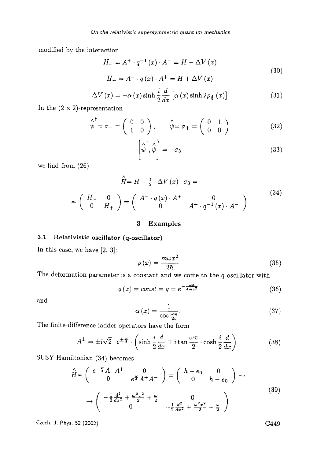modified by the interaction

$$
H_{+} = A^{+} \cdot q^{-1}(x) \cdot A^{-} = H - \Delta V(x)
$$
  
\n
$$
H_{-} = A^{-} \cdot q(x) \cdot A^{+} = H + \Delta V(x)
$$
\n(30)

$$
\Delta V(x) = -\alpha(x)\sinh\frac{i}{2}\frac{d}{dx}\left[\alpha(x)\sinh 2\rho_{\frac{x}{2}}(x)\right]
$$
 (31)

In the  $(2 \times 2)$ -representation

$$
\begin{array}{c}\n\wedge^{\dagger} \\
\psi = \sigma_{-} = \begin{pmatrix} 0 & 0 \\ 1 & 0 \end{pmatrix}, \qquad \hat{\psi} = \sigma_{+} = \begin{pmatrix} 0 & 1 \\ 0 & 0 \end{pmatrix} \n\end{array} \n\tag{32}
$$

$$
\begin{bmatrix} \wedge^{\dagger} & \wedge \\ \psi & , \psi \end{bmatrix} = -\sigma_3 \tag{33}
$$

we find from (26)

$$
\hat{H} = H + \frac{1}{2} \cdot \Delta V \left( x \right) \cdot \sigma_3 =
$$
\n
$$
= \begin{pmatrix} H_{-} & 0 \\ 0 & H_{+} \end{pmatrix} = \begin{pmatrix} A^{-} \cdot q \left( x \right) \cdot A^{+} & 0 \\ 0 & A^{+} \cdot q^{-1} \left( x \right) \cdot A^{-} \end{pmatrix}
$$
\n(34)

## 3 Examples

# 3.1 Relativistic oscillator (q-oscillator)

In this case, we have [2, 3]:

$$
\rho(x) = \frac{m\omega x^2}{2\hbar} \tag{35}
$$

The deformation parameter is a constant and we come to the  $q$ -oscillator with

$$
q\left(x\right) = const = q = e^{-\frac{\omega h}{4mc^2}}\tag{36}
$$

and

$$
\alpha(x) = \frac{1}{\cos\frac{\omega x}{2c}}.\tag{37}
$$

The finite-difference laddcr operators have the form

$$
A^{\pm} = \pm i\sqrt{2} \cdot e^{\pm \frac{\omega}{8}} \cdot \left( \sinh \frac{i}{2} \frac{d}{dx} \mp i \tan \frac{\omega x}{2} \cdot \cosh \frac{i}{2} \frac{d}{dx} \right). \tag{38}
$$

SUSY Hamiltonian (34) becomes

$$
\hat{H} = \begin{pmatrix} e^{-\frac{u}{4}} A^{-} A^{+} & 0 \\ 0 & e^{\frac{u}{4}} A^{+} A^{-} \end{pmatrix} = \begin{pmatrix} h + e_{0} & 0 \\ 0 & h - e_{0} \end{pmatrix} \rightarrow
$$
  

$$
\rightarrow \begin{pmatrix} -\frac{1}{2} \frac{d^{2}}{dx^{2}} + \frac{\omega^{2} x^{2}}{2} + \frac{\omega}{2} & 0 \\ 0 & -\frac{1}{2} \frac{d^{2}}{dx^{2}} + \frac{\omega^{2} x^{2}}{2} - \frac{\omega}{2} \end{pmatrix}
$$
(39)

Czech. J. Phys. 52 (2002)  $C449$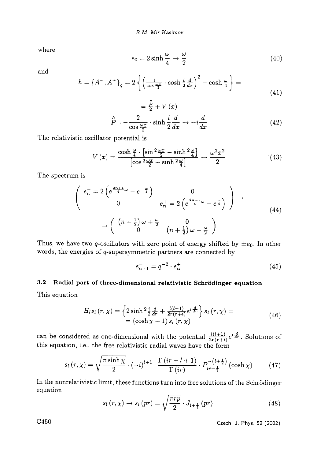$\lambda$ 

where

$$
e_0 = 2\sinh\frac{\omega}{4} \to \frac{\omega}{2} \tag{40}
$$

and

$$
h = \left\{ A^{-}, A^{+} \right\}_{q} = 2 \left\{ \left( \frac{1}{\cos \frac{\omega x}{2}} \cdot \cosh \frac{i}{2} \frac{d}{dx} \right)^{2} - \cosh \frac{\omega}{4} \right\} = \tag{41}
$$

$$
= \frac{P}{2} + V(x)
$$
  

$$
\hat{P} = -\frac{2}{\cos \frac{\omega x}{2}} \cdot \sinh \frac{i}{2} \frac{d}{dx} \rightarrow -i \frac{d}{dx}
$$
 (42)

The relativistic oscillator potential is

$$
V(x) = \frac{\cosh\frac{\omega}{4} \cdot \left[\sin^2\frac{\omega x}{2} - \sinh^2\frac{\omega}{4}\right]}{\left[\cos^2\frac{\omega x}{2} + \sinh^2\frac{\omega}{4}\right]} \to \frac{\omega^2 x^2}{2}
$$
(43)

The spectrum is

$$
\begin{pmatrix}\ne_{n}^{-} = 2\left(e^{\frac{2n+1}{4}\omega} - e^{-\frac{\omega}{4}}\right) & 0 \\
0 & e_{n}^{+} = 2\left(e^{\frac{2n+1}{4}\omega} - e^{\frac{\omega}{4}}\right)\n\end{pmatrix} \rightarrow\n\begin{pmatrix}\n(n+\frac{1}{2})\omega + \frac{\omega}{2} & 0 \\
0 & (n+\frac{1}{2})\omega - \frac{\omega}{2}\n\end{pmatrix}
$$
\n(44)

Thus, we have two q-oscillators with zero point of energy shifted by  $\pm e_0$ . In other words, the energies of  $q$ -supersymmetric partners are connected by

$$
e_{n+1}^- = q^{-2} \cdot e_n^+ \tag{45}
$$

### **3.2**  Radial part of **three-dimensional relativistic** Schr6dinger equation

This equation

$$
H_{l} s_{l} (r, \chi) = \left\{ 2 \sinh^2 \frac{i}{2} \frac{d}{dr} + \frac{l(l+1)}{2r(r+i)} e^{i \frac{d}{dr}} \right\} s_{l} (r, \chi) =
$$
  
=  $( \cosh \chi - 1) s_{l} (r, \chi)$  (46)

can be considered as one-dimensional with the potential  $\frac{l(l+1)}{2r(r+i)}e^{i\frac{d}{dr}}$ . Solutions of this equation, i.e., the free relativistic radial waves have the form

$$
s_l(r,\chi) = \sqrt{\frac{\pi \sinh \chi}{2}} \cdot (-i)^{l+1} \cdot \frac{\Gamma\left(ir+l+1\right)}{\Gamma\left(ir\right)} \cdot P_{ir-\frac{1}{2}}^{-\left(l+\frac{1}{2}\right)}\left(\cosh \chi\right) \tag{47}
$$

In the nonrelativistic limit, these functions turn into free solutions of the Schrödinger equation

$$
s_l(r,\chi) \to s_l(pr) = \sqrt{\frac{\pi rp}{2}} \cdot J_{l+\frac{1}{2}}(pr) \tag{48}
$$

C450 Czech. J. Phys. 52 (2002)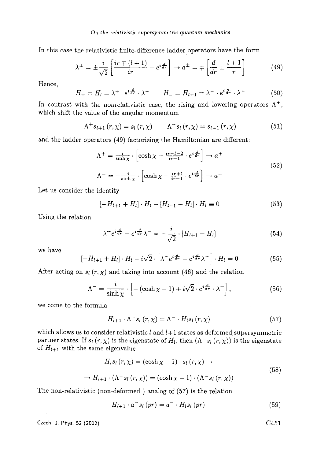*On the relativistic supersymmetric quantum mechanics* 

In this case the relativistic finite-difference ladder operators have the form

$$
\lambda^{\pm} = \pm \frac{i}{\sqrt{2}} \left[ \frac{ir \mp (l+1)}{ir} - e^{i \frac{d}{dr}} \right] \rightarrow a^{\pm} = \mp \left[ \frac{d}{dr} \pm \frac{l+1}{r} \right] \tag{49}
$$

Hence,

$$
H_{+} = H_{l} = \lambda^{+} \cdot e^{i\frac{d}{dr}} \cdot \lambda^{-} \qquad H_{-} = H_{l+1} = \lambda^{-} \cdot e^{i\frac{d}{dr}} \cdot \lambda^{+} \tag{50}
$$

In contrast with the nonrelativistic case, the rising and lowering operators  $\Lambda^{\pm}$ . which shift the value of the angular momentum

$$
\Lambda^{+} s_{l+1} (r, \chi) = s_{l} (r, \chi) \qquad \Lambda^{-} s_{l} (r, \chi) = s_{l+1} (r, \chi)
$$
 (51)

and the ladder operators (49) factorizing the Hamiltonian are different:

$$
\Lambda^{+} = \frac{i}{\sinh \chi} \cdot \left[ \cosh \chi - \frac{i r - l - 2}{i r - 1} \cdot e^{i \frac{d}{dr}} \right] \to a^{+}
$$
  

$$
\Lambda^{-} = -\frac{i}{\sinh \chi} \cdot \left[ \cosh \chi - \frac{i r + l}{i r - 1} \cdot e^{i \frac{d}{dr}} \right] \to a^{-}
$$
 (52)

Let us consider the identity

$$
[-H_{l+1} + H_l] \cdot H_l - [H_{l+1} - H_l] \cdot H_l \equiv 0 \tag{53}
$$

Using the relation

$$
\lambda^- e^{i\frac{d}{dr}} - e^{i\frac{d}{dr}} \lambda^- = -\frac{i}{\sqrt{2}} \cdot [H_{l+1} - H_l] \tag{54}
$$

we have

$$
[-H_{l+1} + H_l] \cdot H_l - i\sqrt{2} \cdot \left[ \lambda^- e^{i\frac{d}{dr}} - e^{i\frac{d}{dr}} \lambda^- \right] \cdot H_l = 0 \tag{55}
$$

After acting on  $s_l(r, \chi)$  and taking into account (46) and the relation

$$
\Lambda^{-} = \frac{i}{\sinh \chi} \cdot \left[ - (\cosh \chi - 1) + i \sqrt{2} \cdot e^{i \frac{d}{d\tau}} \cdot \lambda^{-} \right],\tag{56}
$$

we comc to the formula

$$
H_{l+1} \cdot \Lambda^{-} s_l(r,\chi) = \Lambda^{-} \cdot H_l s_l(r,\chi) \tag{57}
$$

which allows us to consider relativistic  $l$  and  $l+1$  states as deformed supersymmetric partner states. If  $s_l(r, \chi)$  is the eigenstate of  $H_l$ , then  $(\Lambda^- s_l(r, \chi))$  is the eigenstate of  $H_{l+1}$  with the same eigenvalue

$$
H_{l}s_{l}(r,\chi) = (\cosh\chi - 1) \cdot s_{l}(r,\chi) \rightarrow
$$
  

$$
\rightarrow H_{l+1} \cdot (\Lambda^{-} s_{l}(r,\chi)) = (\cosh\chi - 1) \cdot (\Lambda^{-} s_{l}(r,\chi))
$$
(58)

The non-relativistic (non-deformed) analog of (57) is the relation

$$
H_{l+1} \cdot a^- s_l \left( pr \right) = a^- \cdot H_l s_l \left( pr \right) \tag{59}
$$

Czech. J. Phys. 52 (2002)

$$
C451
$$